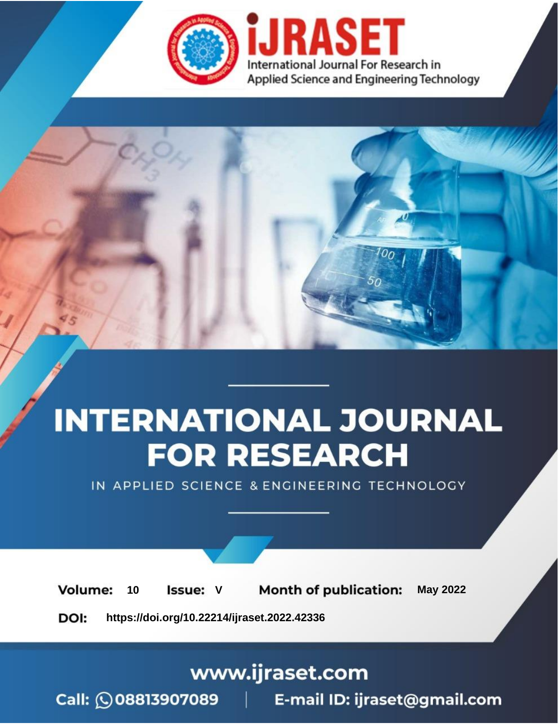

# **INTERNATIONAL JOURNAL FOR RESEARCH**

IN APPLIED SCIENCE & ENGINEERING TECHNOLOGY

Volume: **Month of publication: May 2022** 10 **Issue: V** 

DOI: https://doi.org/10.22214/ijraset.2022.42336

www.ijraset.com

Call: 008813907089 | E-mail ID: ijraset@gmail.com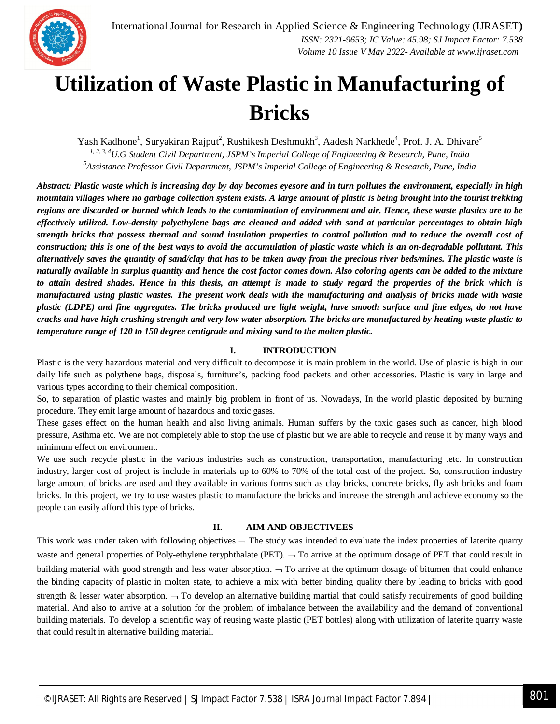

### **Utilization of Waste Plastic in Manufacturing of Bricks**

Yash Kadhone<sup>1</sup>, Suryakiran Rajput<sup>2</sup>, Rushikesh Deshmukh<sup>3</sup>, Aadesh Narkhede<sup>4</sup>, Prof. J. A. Dhivare<sup>5</sup> *1, 2, 3, 4U.G Student Civil Department, JSPM's Imperial College of Engineering & Research, Pune, India <sup>5</sup>Assistance Professor Civil Department, JSPM's Imperial College of Engineering & Research, Pune, India*

*Abstract: Plastic waste which is increasing day by day becomes eyesore and in turn pollutes the environment, especially in high mountain villages where no garbage collection system exists. A large amount of plastic is being brought into the tourist trekking regions are discarded or burned which leads to the contamination of environment and air. Hence, these waste plastics are to be effectively utilized. Low-density polyethylene bags are cleaned and added with sand at particular percentages to obtain high strength bricks that possess thermal and sound insulation properties to control pollution and to reduce the overall cost of construction; this is one of the best ways to avoid the accumulation of plastic waste which is an on-degradable pollutant. This alternatively saves the quantity of sand/clay that has to be taken away from the precious river beds/mines. The plastic waste is naturally available in surplus quantity and hence the cost factor comes down. Also coloring agents can be added to the mixture to attain desired shades. Hence in this thesis, an attempt is made to study regard the properties of the brick which is manufactured using plastic wastes. The present work deals with the manufacturing and analysis of bricks made with waste plastic (LDPE) and fine aggregates. The bricks produced are light weight, have smooth surface and fine edges, do not have cracks and have high crushing strength and very low water absorption. The bricks are manufactured by heating waste plastic to temperature range of 120 to 150 degree centigrade and mixing sand to the molten plastic.*

#### **I. INTRODUCTION**

Plastic is the very hazardous material and very difficult to decompose it is main problem in the world. Use of plastic is high in our daily life such as polythene bags, disposals, furniture's, packing food packets and other accessories. Plastic is vary in large and various types according to their chemical composition.

So, to separation of plastic wastes and mainly big problem in front of us. Nowadays, In the world plastic deposited by burning procedure. They emit large amount of hazardous and toxic gases.

These gases effect on the human health and also living animals. Human suffers by the toxic gases such as cancer, high blood pressure, Asthma etc. We are not completely able to stop the use of plastic but we are able to recycle and reuse it by many ways and minimum effect on environment.

We use such recycle plastic in the various industries such as construction, transportation, manufacturing .etc. In construction industry, larger cost of project is include in materials up to 60% to 70% of the total cost of the project. So, construction industry large amount of bricks are used and they available in various forms such as clay bricks, concrete bricks, fly ash bricks and foam bricks. In this project, we try to use wastes plastic to manufacture the bricks and increase the strength and achieve economy so the people can easily afford this type of bricks.

#### **II. AIM AND OBJECTIVEES**

This work was under taken with following objectives  $\overline{\phantom{a}}$  The study was intended to evaluate the index properties of laterite quarry waste and general properties of Poly-ethylene teryphthalate (PET).  $\neg$  To arrive at the optimum dosage of PET that could result in building material with good strength and less water absorption.  $\neg$  To arrive at the optimum dosage of bitumen that could enhance the binding capacity of plastic in molten state, to achieve a mix with better binding quality there by leading to bricks with good strength & lesser water absorption.  $\overline{\phantom{a}}$  To develop an alternative building martial that could satisfy requirements of good building material. And also to arrive at a solution for the problem of imbalance between the availability and the demand of conventional building materials. To develop a scientific way of reusing waste plastic (PET bottles) along with utilization of laterite quarry waste that could result in alternative building material.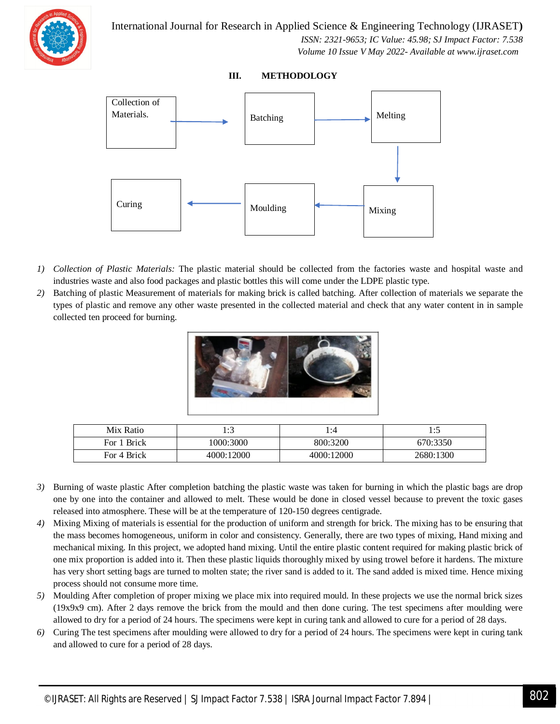

International Journal for Research in Applied Science & Engineering Technology (IJRASET**)**

 *ISSN: 2321-9653; IC Value: 45.98; SJ Impact Factor: 7.538 Volume 10 Issue V May 2022- Available at www.ijraset.com*

#### **III. METHODOLOGY**



- *1) Collection of Plastic Materials:* The plastic material should be collected from the factories waste and hospital waste and industries waste and also food packages and plastic bottles this will come under the LDPE plastic type.
- *2)* Batching of plastic Measurement of materials for making brick is called batching. After collection of materials we separate the types of plastic and remove any other waste presented in the collected material and check that any water content in in sample collected ten proceed for burning.



| Mix Ratio   | ر          |            | .         |
|-------------|------------|------------|-----------|
| For 1 Brick | 000:3000   | 800:3200   | 670:3350  |
| For 4 Brick | 4000:12000 | 4000:12000 | 2680:1300 |

- *3)* Burning of waste plastic After completion batching the plastic waste was taken for burning in which the plastic bags are drop one by one into the container and allowed to melt. These would be done in closed vessel because to prevent the toxic gases released into atmosphere. These will be at the temperature of 120-150 degrees centigrade.
- *4)* Mixing Mixing of materials is essential for the production of uniform and strength for brick. The mixing has to be ensuring that the mass becomes homogeneous, uniform in color and consistency. Generally, there are two types of mixing, Hand mixing and mechanical mixing. In this project, we adopted hand mixing. Until the entire plastic content required for making plastic brick of one mix proportion is added into it. Then these plastic liquids thoroughly mixed by using trowel before it hardens. The mixture has very short setting bags are turned to molten state; the river sand is added to it. The sand added is mixed time. Hence mixing process should not consume more time.
- *5)* Moulding After completion of proper mixing we place mix into required mould. In these projects we use the normal brick sizes (19x9x9 cm). After 2 days remove the brick from the mould and then done curing. The test specimens after moulding were allowed to dry for a period of 24 hours. The specimens were kept in curing tank and allowed to cure for a period of 28 days.
- *6)* Curing The test specimens after moulding were allowed to dry for a period of 24 hours. The specimens were kept in curing tank and allowed to cure for a period of 28 days.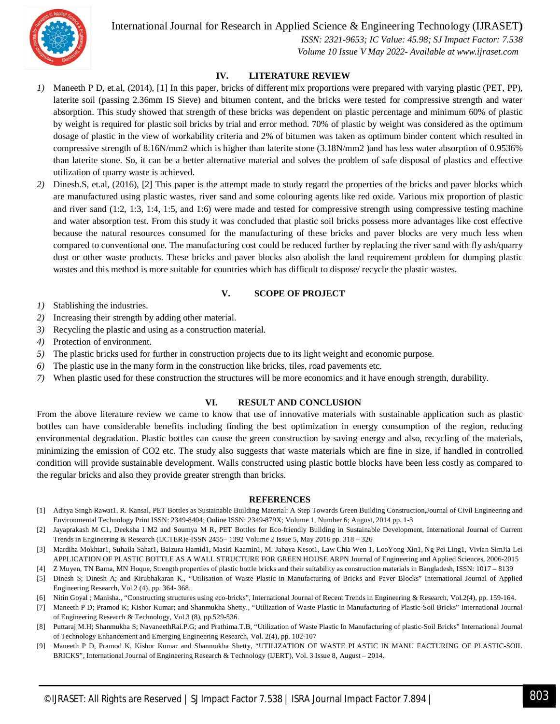International Journal for Research in Applied Science & Engineering Technology (IJRASET**)**



 *ISSN: 2321-9653; IC Value: 45.98; SJ Impact Factor: 7.538 Volume 10 Issue V May 2022- Available at www.ijraset.com*

#### **IV. LITERATURE REVIEW**

- *1)* Maneeth P D, et.al, (2014), [1] In this paper, bricks of different mix proportions were prepared with varying plastic (PET, PP), laterite soil (passing 2.36mm IS Sieve) and bitumen content, and the bricks were tested for compressive strength and water absorption. This study showed that strength of these bricks was dependent on plastic percentage and minimum 60% of plastic by weight is required for plastic soil bricks by trial and error method. 70% of plastic by weight was considered as the optimum dosage of plastic in the view of workability criteria and 2% of bitumen was taken as optimum binder content which resulted in compressive strength of 8.16N/mm2 which is higher than laterite stone (3.18N/mm2 )and has less water absorption of 0.9536% than laterite stone. So, it can be a better alternative material and solves the problem of safe disposal of plastics and effective utilization of quarry waste is achieved.
- *2)* Dinesh.S, et.al, (2016), [2] This paper is the attempt made to study regard the properties of the bricks and paver blocks which are manufactured using plastic wastes, river sand and some colouring agents like red oxide. Various mix proportion of plastic and river sand (1:2, 1:3, 1:4, 1:5, and 1:6) were made and tested for compressive strength using compressive testing machine and water absorption test. From this study it was concluded that plastic soil bricks possess more advantages like cost effective because the natural resources consumed for the manufacturing of these bricks and paver blocks are very much less when compared to conventional one. The manufacturing cost could be reduced further by replacing the river sand with fly ash/quarry dust or other waste products. These bricks and paver blocks also abolish the land requirement problem for dumping plastic wastes and this method is more suitable for countries which has difficult to dispose/ recycle the plastic wastes.

#### **V. SCOPE OF PROJECT**

- *1)* Stablishing the industries.
- *2)* Increasing their strength by adding other material.
- *3)* Recycling the plastic and using as a construction material.
- *4)* Protection of environment.
- *5)* The plastic bricks used for further in construction projects due to its light weight and economic purpose.
- *6)* The plastic use in the many form in the construction like bricks, tiles, road pavements etc.
- *7)* When plastic used for these construction the structures will be more economics and it have enough strength, durability.

#### **VI. RESULT AND CONCLUSION**

From the above literature review we came to know that use of innovative materials with sustainable application such as plastic bottles can have considerable benefits including finding the best optimization in energy consumption of the region, reducing environmental degradation. Plastic bottles can cause the green construction by saving energy and also, recycling of the materials, minimizing the emission of CO2 etc. The study also suggests that waste materials which are fine in size, if handled in controlled condition will provide sustainable development. Walls constructed using plastic bottle blocks have been less costly as compared to the regular bricks and also they provide greater strength than bricks.

#### **REFERENCES**

- [1] Aditya Singh Rawat1, R. Kansal, PET Bottles as Sustainable Building Material: A Step Towards Green Building Construction,Journal of Civil Engineering and Environmental Technology Print ISSN: 2349-8404; Online ISSN: 2349-879X; Volume 1, Number 6; August, 2014 pp. 1-3
- [2] Jayaprakash M C1, Deeksha I M2 and Soumya M R, PET Bottles for Eco-friendly Building in Sustainable Development, International Journal of Current Trends in Engineering & Research (IJCTER)e-ISSN 2455– 1392 Volume 2 Issue 5, May 2016 pp. 318 – 326
- [3] Mardiha Mokhtar1, Suhaila Sahat1, Baizura Hamid1, Masiri Kaamin1, M. Jahaya Kesot1, Law Chia Wen 1, LooYong Xin1, Ng Pei Ling1, Vivian SimJia Lei APPLICATION OF PLASTIC BOTTLE AS A WALL STRUCTURE FOR GREEN HOUSE ARPN Journal of Engineering and Applied Sciences, 2006-2015
- [4] Z Muyen, TN Barna, MN Hoque, Strength properties of plastic bottle bricks and their suitability as construction materials in Bangladesh, ISSN: 1017 8139
- [5] Dinesh S; Dinesh A; and Kirubhakaran K., "Utilisation of Waste Plastic in Manufacturing of Bricks and Paver Blocks" International Journal of Applied Engineering Research, Vol.2 (4), pp. 364- 368.
- [6] Nitin Goyal ; Manisha., "Constructing structures using eco-bricks", International Journal of Recent Trends in Engineering & Research, Vol.2(4), pp. 159-164.
- [7] Maneeth P D; Pramod K; Kishor Kumar; and Shanmukha Shetty., "Utilization of Waste Plastic in Manufacturing of Plastic-Soil Bricks" International Journal of Engineering Research & Technology, Vol.3 (8), pp.529-536.
- [8] Puttaraj M.H; Shanmukha S; NavaneethRai.P.G; and Prathima.T.B, "Utilization of Waste Plastic In Manufacturing of plastic-Soil Bricks" International Journal of Technology Enhancement and Emerging Engineering Research, Vol. 2(4), pp. 102-107
- [9] Maneeth P D, Pramod K, Kishor Kumar and Shanmukha Shetty, "UTILIZATION OF WASTE PLASTIC IN MANU FACTURING OF PLASTIC-SOIL BRICKS", International Journal of Engineering Research & Technology (IJERT), Vol. 3 Issue 8, August – 2014.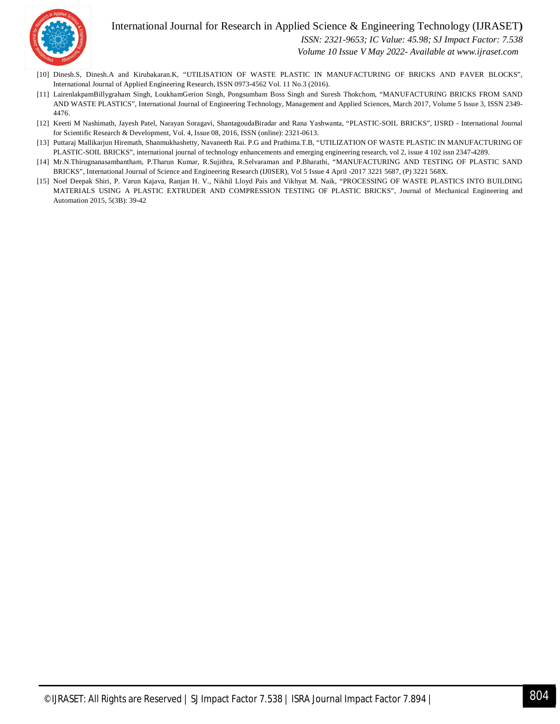



 *ISSN: 2321-9653; IC Value: 45.98; SJ Impact Factor: 7.538 Volume 10 Issue V May 2022- Available at www.ijraset.com*

[10] Dinesh.S, Dinesh.A and Kirubakaran.K, "UTILISATION OF WASTE PLASTIC IN MANUFACTURING OF BRICKS AND PAVER BLOCKS", International Journal of Applied Engineering Research, ISSN 0973-4562 Vol. 11 No.3 (2016).

- [11] LairenlakpamBillygraham Singh, LoukhamGerion Singh, Pongsumbam Boss Singh and Suresh Thokchom, "MANUFACTURING BRICKS FROM SAND AND WASTE PLASTICS", International Journal of Engineering Technology, Management and Applied Sciences, March 2017, Volume 5 Issue 3, ISSN 2349- 4476.
- [12] Keerti M Nashimath, Jayesh Patel, Narayan Soragavi, ShantagoudaBiradar and Rana Yashwanta, "PLASTIC-SOIL BRICKS", IJSRD International Journal for Scientific Research & Development, Vol. 4, Issue 08, 2016, ISSN (online): 2321-0613.
- [13] Puttaraj Mallikarjun Hiremath, Shanmukhashetty, Navaneeth Rai. P.G and Prathima.T.B, "UTILIZATION OF WASTE PLASTIC IN MANUFACTURING OF PLASTIC-SOIL BRICKS", international journal of technology enhancements and emerging engineering research, vol 2, issue 4 102 issn 2347-4289.
- [14] Mr.N.Thirugnanasambantham, P.Tharun Kumar, R.Sujithra, R.Selvaraman and P.Bharathi, "MANUFACTURING AND TESTING OF PLASTIC SAND BRICKS", International Journal of Science and Engineering Research (IJ0SER), Vol 5 Issue 4 April -2017 3221 5687, (P) 3221 568X.
- [15] Noel Deepak Shiri, P. Varun Kajava, Ranjan H. V., Nikhil Lloyd Pais and Vikhyat M. Naik, "PROCESSING OF WASTE PLASTICS INTO BUILDING MATERIALS USING A PLASTIC EXTRUDER AND COMPRESSION TESTING OF PLASTIC BRICKS", Journal of Mechanical Engineering and Automation 2015, 5(3B): 39-42